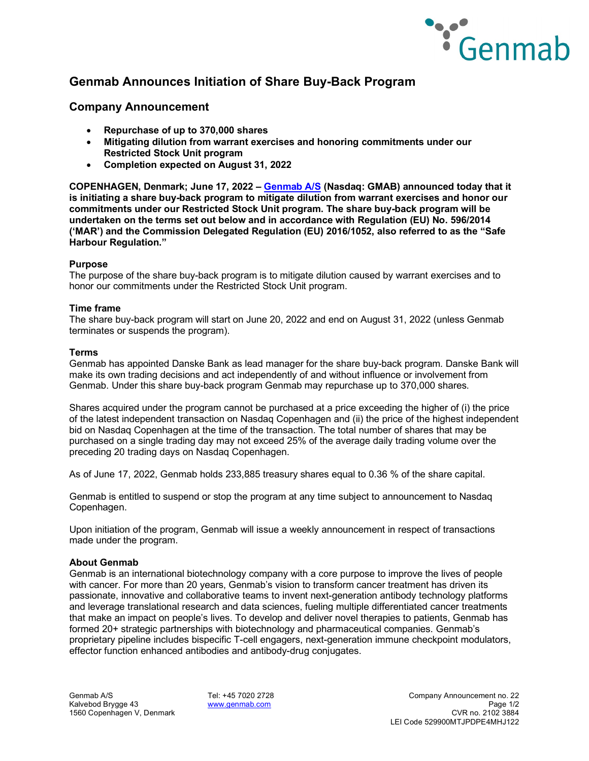

# **Genmab Announces Initiation of Share Buy-Back Program**

# **Company Announcement**

- **Repurchase of up to 370,000 shares**
- **Mitigating dilution from warrant exercises and honoring commitments under our Restricted Stock Unit program**
- **Completion expected on August 31, 2022**

**COPENHAGEN, Denmark; June 17, 2022 – [Genmab A/S](https://www.genmab.com/) (Nasdaq: GMAB) announced today that it is initiating a share buy-back program to mitigate dilution from warrant exercises and honor our commitments under our Restricted Stock Unit program. The share buy-back program will be undertaken on the terms set out below and in accordance with Regulation (EU) No. 596/2014 ('MAR') and the Commission Delegated Regulation (EU) 2016/1052, also referred to as the "Safe Harbour Regulation."**

### **Purpose**

The purpose of the share buy-back program is to mitigate dilution caused by warrant exercises and to honor our commitments under the Restricted Stock Unit program.

# **Time frame**

The share buy-back program will start on June 20, 2022 and end on August 31, 2022 (unless Genmab terminates or suspends the program).

#### **Terms**

Genmab has appointed Danske Bank as lead manager for the share buy-back program. Danske Bank will make its own trading decisions and act independently of and without influence or involvement from Genmab. Under this share buy-back program Genmab may repurchase up to 370,000 shares.

Shares acquired under the program cannot be purchased at a price exceeding the higher of (i) the price of the latest independent transaction on Nasdaq Copenhagen and (ii) the price of the highest independent bid on Nasdaq Copenhagen at the time of the transaction. The total number of shares that may be purchased on a single trading day may not exceed 25% of the average daily trading volume over the preceding 20 trading days on Nasdaq Copenhagen.

As of June 17, 2022, Genmab holds 233,885 treasury shares equal to 0.36 % of the share capital.

Genmab is entitled to suspend or stop the program at any time subject to announcement to Nasdaq Copenhagen.

Upon initiation of the program, Genmab will issue a weekly announcement in respect of transactions made under the program.

### **About Genmab**

Genmab is an international biotechnology company with a core purpose to improve the lives of people with cancer. For more than 20 years, Genmab's vision to transform cancer treatment has driven its passionate, innovative and collaborative teams to invent next-generation antibody technology platforms and leverage translational research and data sciences, fueling multiple differentiated cancer treatments that make an impact on people's lives. To develop and deliver novel therapies to patients, Genmab has formed 20+ strategic partnerships with biotechnology and pharmaceutical companies. Genmab's proprietary pipeline includes bispecific T-cell engagers, next-generation immune checkpoint modulators, effector function enhanced antibodies and antibody-drug conjugates.